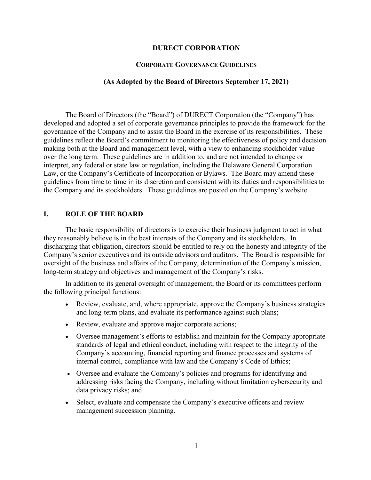#### **DURECT CORPORATION**

#### **CORPORATE GOVERNANCE GUIDELINES**

#### **(As Adopted by the Board of Directors September 17, 2021)**

The Board of Directors (the "Board") of DURECT Corporation (the "Company") has developed and adopted a set of corporate governance principles to provide the framework for the governance of the Company and to assist the Board in the exercise of its responsibilities. These guidelines reflect the Board's commitment to monitoring the effectiveness of policy and decision making both at the Board and management level, with a view to enhancing stockholder value over the long term. These guidelines are in addition to, and are not intended to change or interpret, any federal or state law or regulation, including the Delaware General Corporation Law, or the Company's Certificate of Incorporation or Bylaws. The Board may amend these guidelines from time to time in its discretion and consistent with its duties and responsibilities to the Company and its stockholders. These guidelines are posted on the Company's website.

#### **I. ROLE OF THE BOARD**

The basic responsibility of directors is to exercise their business judgment to act in what they reasonably believe is in the best interests of the Company and its stockholders. In discharging that obligation, directors should be entitled to rely on the honesty and integrity of the Company's senior executives and its outside advisors and auditors. The Board is responsible for oversight of the business and affairs of the Company, determination of the Company's mission, long-term strategy and objectives and management of the Company's risks.

In addition to its general oversight of management, the Board or its committees perform the following principal functions:

- Review, evaluate, and, where appropriate, approve the Company's business strategies and long-term plans, and evaluate its performance against such plans;
- Review, evaluate and approve major corporate actions;
- Oversee management's efforts to establish and maintain for the Company appropriate standards of legal and ethical conduct, including with respect to the integrity of the Company's accounting, financial reporting and finance processes and systems of internal control, compliance with law and the Company's Code of Ethics;
- Oversee and evaluate the Company's policies and programs for identifying and addressing risks facing the Company, including without limitation cybersecurity and data privacy risks; and
- Select, evaluate and compensate the Company's executive officers and review management succession planning.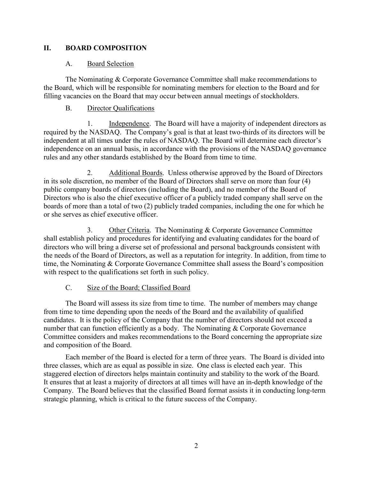# **II. BOARD COMPOSITION**

## A. Board Selection

The Nominating & Corporate Governance Committee shall make recommendations to the Board, which will be responsible for nominating members for election to the Board and for filling vacancies on the Board that may occur between annual meetings of stockholders.

## B. Director Qualifications

1. Independence. The Board will have a majority of independent directors as required by the NASDAQ. The Company's goal is that at least two-thirds of its directors will be independent at all times under the rules of NASDAQ. The Board will determine each director's independence on an annual basis, in accordance with the provisions of the NASDAQ governance rules and any other standards established by the Board from time to time.

2. Additional Boards. Unless otherwise approved by the Board of Directors in its sole discretion, no member of the Board of Directors shall serve on more than four (4) public company boards of directors (including the Board), and no member of the Board of Directors who is also the chief executive officer of a publicly traded company shall serve on the boards of more than a total of two (2) publicly traded companies, including the one for which he or she serves as chief executive officer.

3. Other Criteria. The Nominating & Corporate Governance Committee shall establish policy and procedures for identifying and evaluating candidates for the board of directors who will bring a diverse set of professional and personal backgrounds consistent with the needs of the Board of Directors, as well as a reputation for integrity. In addition, from time to time, the Nominating & Corporate Governance Committee shall assess the Board's composition with respect to the qualifications set forth in such policy.

### C. Size of the Board; Classified Board

The Board will assess its size from time to time. The number of members may change from time to time depending upon the needs of the Board and the availability of qualified candidates. It is the policy of the Company that the number of directors should not exceed a number that can function efficiently as a body. The Nominating & Corporate Governance Committee considers and makes recommendations to the Board concerning the appropriate size and composition of the Board.

Each member of the Board is elected for a term of three years. The Board is divided into three classes, which are as equal as possible in size. One class is elected each year. This staggered election of directors helps maintain continuity and stability to the work of the Board. It ensures that at least a majority of directors at all times will have an in-depth knowledge of the Company. The Board believes that the classified Board format assists it in conducting long-term strategic planning, which is critical to the future success of the Company.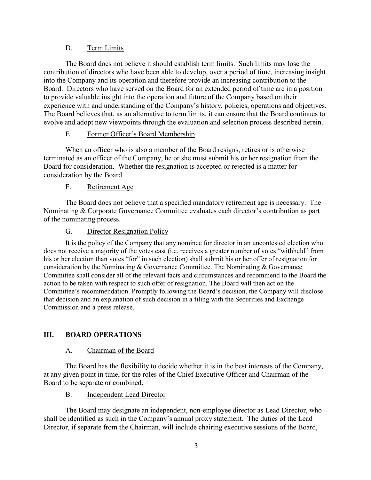## D. Term Limits

The Board does not believe it should establish term limits. Such limits may lose the contribution of directors who have been able to develop, over a period of time, increasing insight into the Company and its operation and therefore provide an increasing contribution to the Board. Directors who have served on the Board for an extended period of time are in a position to provide valuable insight into the operation and future of the Company based on their experience with and understanding of the Company's history, policies, operations and objectives. The Board believes that, as an alternative to term limits, it can ensure that the Board continues to evolve and adopt new viewpoints through the evaluation and selection process described herein.

## E. Former Officer's Board Membership

When an officer who is also a member of the Board resigns, retires or is otherwise terminated as an officer of the Company, he or she must submit his or her resignation from the Board for consideration. Whether the resignation is accepted or rejected is a matter for consideration by the Board.

## F. Retirement Age

The Board does not believe that a specified mandatory retirement age is necessary. The Nominating & Corporate Governance Committee evaluates each director's contribution as part of the nominating process.

## G. Director Resignation Policy

It is the policy of the Company that any nominee for director in an uncontested election who does not receive a majority of the votes cast (i.e. receives a greater number of votes "withheld" from his or her election than votes "for" in such election) shall submit his or her offer of resignation for consideration by the Nominating & Governance Committee. The Nominating & Governance Committee shall consider all of the relevant facts and circumstances and recommend to the Board the action to be taken with respect to such offer of resignation. The Board will then act on the Committee's recommendation. Promptly following the Board's decision, the Company will disclose that decision and an explanation of such decision in a filing with the Securities and Exchange Commission and a press release.

# **III. BOARD OPERATIONS**

### A. Chairman of the Board

The Board has the flexibility to decide whether it is in the best interests of the Company, at any given point in time, for the roles of the Chief Executive Officer and Chairman of the Board to be separate or combined.

### B. Independent Lead Director

The Board may designate an independent, non-employee director as Lead Director, who shall be identified as such in the Company's annual proxy statement. The duties of the Lead Director, if separate from the Chairman, will include chairing executive sessions of the Board,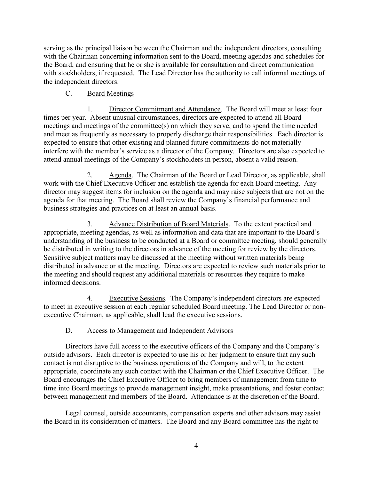serving as the principal liaison between the Chairman and the independent directors, consulting with the Chairman concerning information sent to the Board, meeting agendas and schedules for the Board, and ensuring that he or she is available for consultation and direct communication with stockholders, if requested. The Lead Director has the authority to call informal meetings of the independent directors.

# C. Board Meetings

1. Director Commitment and Attendance. The Board will meet at least four times per year. Absent unusual circumstances, directors are expected to attend all Board meetings and meetings of the committee(s) on which they serve, and to spend the time needed and meet as frequently as necessary to properly discharge their responsibilities. Each director is expected to ensure that other existing and planned future commitments do not materially interfere with the member's service as a director of the Company. Directors are also expected to attend annual meetings of the Company's stockholders in person, absent a valid reason.

2. Agenda. The Chairman of the Board or Lead Director, as applicable, shall work with the Chief Executive Officer and establish the agenda for each Board meeting. Any director may suggest items for inclusion on the agenda and may raise subjects that are not on the agenda for that meeting. The Board shall review the Company's financial performance and business strategies and practices on at least an annual basis.

3. Advance Distribution of Board Materials. To the extent practical and appropriate, meeting agendas, as well as information and data that are important to the Board's understanding of the business to be conducted at a Board or committee meeting, should generally be distributed in writing to the directors in advance of the meeting for review by the directors. Sensitive subject matters may be discussed at the meeting without written materials being distributed in advance or at the meeting. Directors are expected to review such materials prior to the meeting and should request any additional materials or resources they require to make informed decisions.

4. Executive Sessions. The Company's independent directors are expected to meet in executive session at each regular scheduled Board meeting. The Lead Director or nonexecutive Chairman, as applicable, shall lead the executive sessions.

# D. Access to Management and Independent Advisors

Directors have full access to the executive officers of the Company and the Company's outside advisors. Each director is expected to use his or her judgment to ensure that any such contact is not disruptive to the business operations of the Company and will, to the extent appropriate, coordinate any such contact with the Chairman or the Chief Executive Officer. The Board encourages the Chief Executive Officer to bring members of management from time to time into Board meetings to provide management insight, make presentations, and foster contact between management and members of the Board. Attendance is at the discretion of the Board.

Legal counsel, outside accountants, compensation experts and other advisors may assist the Board in its consideration of matters. The Board and any Board committee has the right to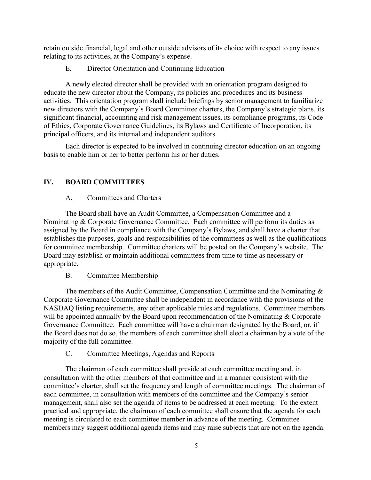retain outside financial, legal and other outside advisors of its choice with respect to any issues relating to its activities, at the Company's expense.

# E. Director Orientation and Continuing Education

A newly elected director shall be provided with an orientation program designed to educate the new director about the Company, its policies and procedures and its business activities. This orientation program shall include briefings by senior management to familiarize new directors with the Company's Board Committee charters, the Company's strategic plans, its significant financial, accounting and risk management issues, its compliance programs, its Code of Ethics, Corporate Governance Guidelines, its Bylaws and Certificate of Incorporation, its principal officers, and its internal and independent auditors.

Each director is expected to be involved in continuing director education on an ongoing basis to enable him or her to better perform his or her duties.

# **IV. BOARD COMMITTEES**

# A. Committees and Charters

The Board shall have an Audit Committee, a Compensation Committee and a Nominating & Corporate Governance Committee. Each committee will perform its duties as assigned by the Board in compliance with the Company's Bylaws, and shall have a charter that establishes the purposes, goals and responsibilities of the committees as well as the qualifications for committee membership. Committee charters will be posted on the Company's website. The Board may establish or maintain additional committees from time to time as necessary or appropriate.

# B. Committee Membership

The members of the Audit Committee, Compensation Committee and the Nominating & Corporate Governance Committee shall be independent in accordance with the provisions of the NASDAQ listing requirements, any other applicable rules and regulations. Committee members will be appointed annually by the Board upon recommendation of the Nominating & Corporate Governance Committee. Each committee will have a chairman designated by the Board, or, if the Board does not do so, the members of each committee shall elect a chairman by a vote of the majority of the full committee.

# C. Committee Meetings, Agendas and Reports

The chairman of each committee shall preside at each committee meeting and, in consultation with the other members of that committee and in a manner consistent with the committee's charter, shall set the frequency and length of committee meetings. The chairman of each committee, in consultation with members of the committee and the Company's senior management, shall also set the agenda of items to be addressed at each meeting. To the extent practical and appropriate, the chairman of each committee shall ensure that the agenda for each meeting is circulated to each committee member in advance of the meeting. Committee members may suggest additional agenda items and may raise subjects that are not on the agenda.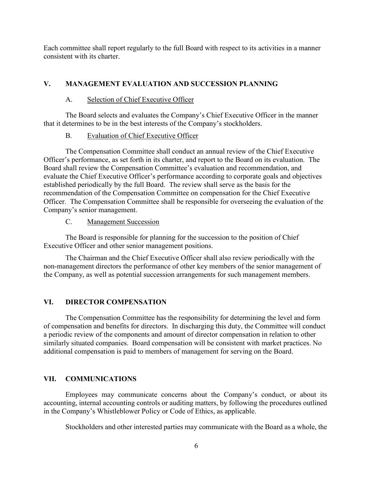Each committee shall report regularly to the full Board with respect to its activities in a manner consistent with its charter.

## **V. MANAGEMENT EVALUATION AND SUCCESSION PLANNING**

### A. Selection of Chief Executive Officer

The Board selects and evaluates the Company's Chief Executive Officer in the manner that it determines to be in the best interests of the Company's stockholders.

#### B. Evaluation of Chief Executive Officer

The Compensation Committee shall conduct an annual review of the Chief Executive Officer's performance, as set forth in its charter, and report to the Board on its evaluation. The Board shall review the Compensation Committee's evaluation and recommendation, and evaluate the Chief Executive Officer's performance according to corporate goals and objectives established periodically by the full Board. The review shall serve as the basis for the recommendation of the Compensation Committee on compensation for the Chief Executive Officer. The Compensation Committee shall be responsible for overseeing the evaluation of the Company's senior management.

#### C. Management Succession

The Board is responsible for planning for the succession to the position of Chief Executive Officer and other senior management positions.

The Chairman and the Chief Executive Officer shall also review periodically with the non-management directors the performance of other key members of the senior management of the Company, as well as potential succession arrangements for such management members.

### **VI. DIRECTOR COMPENSATION**

The Compensation Committee has the responsibility for determining the level and form of compensation and benefits for directors. In discharging this duty, the Committee will conduct a periodic review of the components and amount of director compensation in relation to other similarly situated companies. Board compensation will be consistent with market practices. No additional compensation is paid to members of management for serving on the Board.

### **VII. COMMUNICATIONS**

Employees may communicate concerns about the Company's conduct, or about its accounting, internal accounting controls or auditing matters, by following the procedures outlined in the Company's Whistleblower Policy or Code of Ethics, as applicable.

Stockholders and other interested parties may communicate with the Board as a whole, the